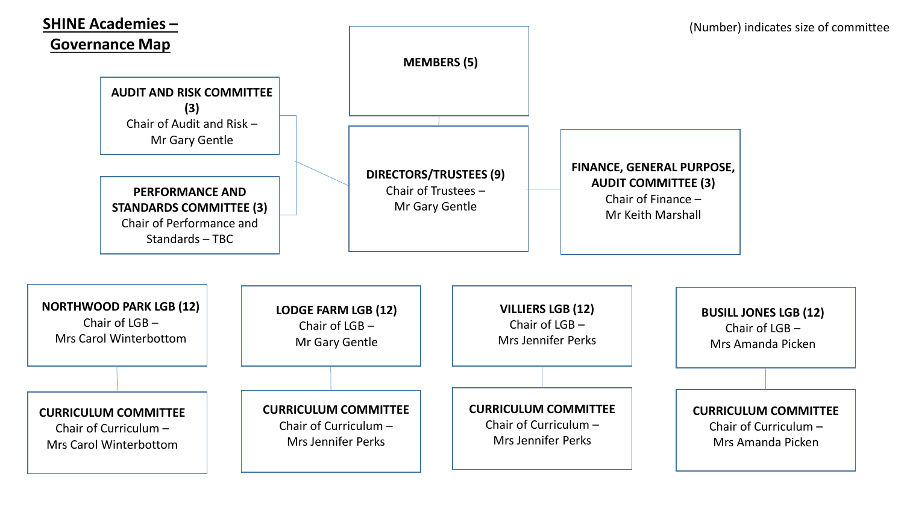